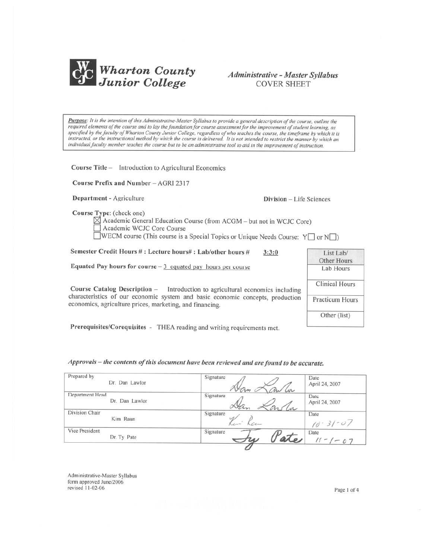

# Administrative - Master Syllabus **COVER SHEET**

Purpose: It is the intention of this Administrative-Master Syllabus to provide a general description of the course, outline the required elements of the course and to lay the foundation for course assessment for the improvement of student learning, as specified by the faculty of Wharton County Junior College, regardless of who teaches the course, the timeframe by which it is instructed, or the instructional method by which the course is delivered. It is not intended to restrict the manner by which an individual faculty member teaches the course but to be an administrative tool to aid in the improvement of instruction.

Course Title - Introduction to Agricultural Economics

Course Prefix and Number - AGRI 2317

Department - Agriculture

Division - Life Sciences

Course Type: (check one)

 $\boxtimes$  Academic General Education Course (from ACGM – but not in WCJC Core) Academic WCJC Core Course WECM course (This course is a Special Topics or Unique Needs Course:  $Y \Box$  or  $N \Box$ )

Semester Credit Hours #: Lecture hours#: Lab/other hours #  $3:3:0$ 

Equated Pay hours for course  $-3$  equated pay hours per course

Course Catalog Description - Introduction to agricultural economics including characteristics of our economic system and basic economic concepts, production economics, agriculture prices, marketing, and financing.

| List Lab/              |  |  |
|------------------------|--|--|
| Other Hours            |  |  |
| Lab Hours              |  |  |
|                        |  |  |
| Clinical Hours         |  |  |
|                        |  |  |
| <b>Practicum Hours</b> |  |  |
|                        |  |  |
| Other (list)           |  |  |
|                        |  |  |

Prerequisites/Corequisites - THEA reading and writing requirements met.

# Approvals - the contents of this document have been reviewed and are found to be accurate.

| Prepared by<br>Dr. Dan Lawlor | Signature  | Date               |
|-------------------------------|------------|--------------------|
|                               | Cor<br>fre | April 24, 2007     |
| Department Head               | Signature  | Date               |
| Dr. Dan Lawlor                |            | April 24, 2007     |
| Division Chair                | Signature  | Date               |
| Kim Raun                      |            | $-07$<br>$(d - 3)$ |
| Vice President                | Signature  | Date               |
| Dr. Ty Pate                   |            | $11 - 1 - 07$      |
|                               |            |                    |

Administrative-Master Syllabus form approved June/2006 revised 11-02-06

Page 1 of 4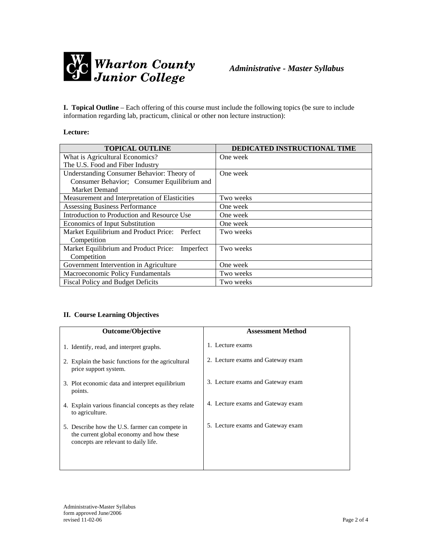

**I. Topical Outline** – Each offering of this course must include the following topics (be sure to include information regarding lab, practicum, clinical or other non lecture instruction):

## **Lecture:**

| <b>TOPICAL OUTLINE</b>                           | DEDICATED INSTRUCTIONAL TIME |
|--------------------------------------------------|------------------------------|
| What is Agricultural Economics?                  | One week                     |
| The U.S. Food and Fiber Industry                 |                              |
| Understanding Consumer Behavior: Theory of       | One week                     |
| Consumer Behavior; Consumer Equilibrium and      |                              |
| <b>Market Demand</b>                             |                              |
| Measurement and Interpretation of Elasticities   | Two weeks                    |
| Assessing Business Performance                   | One week                     |
| Introduction to Production and Resource Use      | One week                     |
| Economics of Input Substitution                  | One week                     |
| Market Equilibrium and Product Price:<br>Perfect | Two weeks                    |
| Competition                                      |                              |
| Market Equilibrium and Product Price: Imperfect  | Two weeks                    |
| Competition                                      |                              |
| Government Intervention in Agriculture           | One week                     |
| Macroeconomic Policy Fundamentals                | Two weeks                    |
| <b>Fiscal Policy and Budget Deficits</b>         | Two weeks                    |

## **II. Course Learning Objectives**

| <b>Outcome/Objective</b>                                                                                                           | <b>Assessment Method</b>          |
|------------------------------------------------------------------------------------------------------------------------------------|-----------------------------------|
| 1. Identify, read, and interpret graphs.                                                                                           | 1. Lecture exams                  |
| 2. Explain the basic functions for the agricultural<br>price support system.                                                       | 2. Lecture exams and Gateway exam |
| 3. Plot economic data and interpret equilibrium<br>points.                                                                         | 3. Lecture exams and Gateway exam |
| 4. Explain various financial concepts as they relate<br>to agriculture.                                                            | 4. Lecture exams and Gateway exam |
| 5. Describe how the U.S. farmer can compete in<br>the current global economy and how these<br>concepts are relevant to daily life. | 5. Lecture exams and Gateway exam |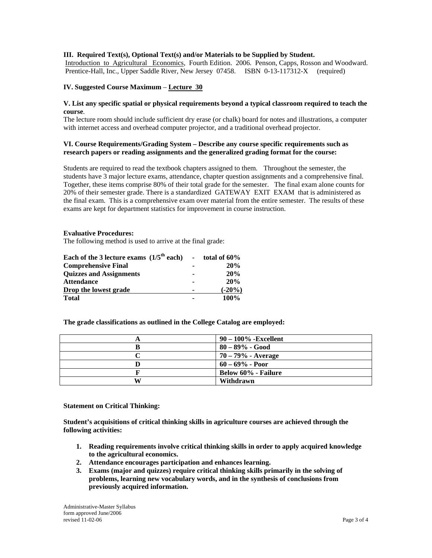## **III. Required Text(s), Optional Text(s) and/or Materials to be Supplied by Student.**

Introduction to Agricultural Economics, Fourth Edition. 2006. Penson, Capps, Rosson and Woodward. Prentice-Hall, Inc., Upper Saddle River, New Jersey 07458. ISBN 0-13-117312-X (required)

## **IV. Suggested Course Maximum** – **Lecture 30**

#### **V. List any specific spatial or physical requirements beyond a typical classroom required to teach the course**.

The lecture room should include sufficient dry erase (or chalk) board for notes and illustrations, a computer with internet access and overhead computer projector, and a traditional overhead projector.

### **VI. Course Requirements/Grading System – Describe any course specific requirements such as research papers or reading assignments and the generalized grading format for the course:**

Students are required to read the textbook chapters assigned to them. Throughout the semester, the students have 3 major lecture exams, attendance, chapter question assignments and a comprehensive final. Together, these items comprise 80% of their total grade for the semester. The final exam alone counts for 20% of their semester grade. There is a standardized GATEWAY EXIT EXAM that is administered as the final exam. This is a comprehensive exam over material from the entire semester. The results of these exams are kept for department statistics for improvement in course instruction.

#### **Evaluative Procedures:**

The following method is used to arrive at the final grade:

| Each of the 3 lecture exams $(1/5^{th}$ each) - total of 60% |           |
|--------------------------------------------------------------|-----------|
| <b>Comprehensive Final</b>                                   | 20%       |
| <b>Ouizzes and Assignments</b>                               | 20%       |
| <b>Attendance</b>                                            | 20%       |
| Drop the lowest grade                                        | $(-20\%)$ |
| <b>Total</b>                                                 | 100%      |

**The grade classifications as outlined in the College Catalog are employed:** 

| A | $90 - 100\%$ -Excellent    |
|---|----------------------------|
| В | $80 - 89\%$ - Good         |
|   | $70 - 79\%$ - Average      |
|   | $60 - 69\%$ - Poor         |
|   | <b>Below 60% - Failure</b> |
| W | Withdrawn                  |

#### **Statement on Critical Thinking:**

**Student's acquisitions of critical thinking skills in agriculture courses are achieved through the following activities:** 

- **1. Reading requirements involve critical thinking skills in order to apply acquired knowledge to the agricultural economics.**
- **2. Attendance encourages participation and enhances learning.**
- **3. Exams (major and quizzes) require critical thinking skills primarily in the solving of problems, learning new vocabulary words, and in the synthesis of conclusions from previously acquired information.**